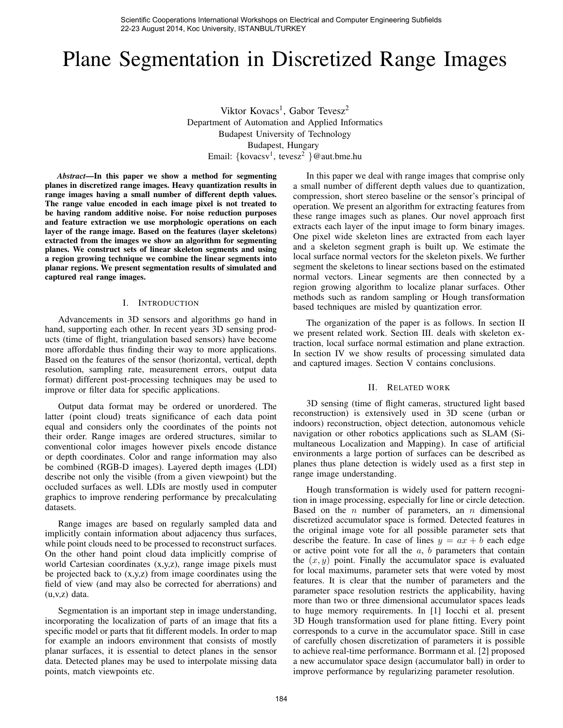Scientific Cooperations International Workshops on Electrical and Computer Engineering Subfields 22-23 August 2014, Koc University, ISTANBUL/TURKEY

# Plane Segmentation in Discretized Range Images

Viktor Kovacs<sup>1</sup>, Gabor Tevesz<sup>2</sup> Department of Automation and Applied Informatics Budapest University of Technology Budapest, Hungary Email: {kovacsv<sup>1</sup>, tevesz<sup>2</sup> }@aut.bme.hu

*Abstract*—In this paper we show a method for segmenting planes in discretized range images. Heavy quantization results in range images having a small number of different depth values. The range value encoded in each image pixel is not treated to be having random additive noise. For noise reduction purposes and feature extraction we use morphologic operations on each layer of the range image. Based on the features (layer skeletons) extracted from the images we show an algorithm for segmenting planes. We construct sets of linear skeleton segments and using a region growing technique we combine the linear segments into planar regions. We present segmentation results of simulated and captured real range images.

## I. INTRODUCTION

Advancements in 3D sensors and algorithms go hand in hand, supporting each other. In recent years 3D sensing products (time of flight, triangulation based sensors) have become more affordable thus finding their way to more applications. Based on the features of the sensor (horizontal, vertical, depth resolution, sampling rate, measurement errors, output data format) different post-processing techniques may be used to improve or filter data for specific applications.

Output data format may be ordered or unordered. The latter (point cloud) treats significance of each data point equal and considers only the coordinates of the points not their order. Range images are ordered structures, similar to conventional color images however pixels encode distance or depth coordinates. Color and range information may also be combined (RGB-D images). Layered depth images (LDI) describe not only the visible (from a given viewpoint) but the occluded surfaces as well. LDIs are mostly used in computer graphics to improve rendering performance by precalculating datasets.

Range images are based on regularly sampled data and implicitly contain information about adjacency thus surfaces, while point clouds need to be processed to reconstruct surfaces. On the other hand point cloud data implicitly comprise of world Cartesian coordinates (x,y,z), range image pixels must be projected back to (x,y,z) from image coordinates using the field of view (and may also be corrected for aberrations) and (u,v,z) data.

Segmentation is an important step in image understanding, incorporating the localization of parts of an image that fits a specific model or parts that fit different models. In order to map for example an indoors environment that consists of mostly planar surfaces, it is essential to detect planes in the sensor data. Detected planes may be used to interpolate missing data points, match viewpoints etc.

In this paper we deal with range images that comprise only a small number of different depth values due to quantization, compression, short stereo baseline or the sensor's principal of operation. We present an algorithm for extracting features from these range images such as planes. Our novel approach first extracts each layer of the input image to form binary images. One pixel wide skeleton lines are extracted from each layer and a skeleton segment graph is built up. We estimate the local surface normal vectors for the skeleton pixels. We further segment the skeletons to linear sections based on the estimated normal vectors. Linear segments are then connected by a region growing algorithm to localize planar surfaces. Other methods such as random sampling or Hough transformation based techniques are misled by quantization error.

The organization of the paper is as follows. In section II we present related work. Section III. deals with skeleton extraction, local surface normal estimation and plane extraction. In section IV we show results of processing simulated data and captured images. Section V contains conclusions.

#### II. RELATED WORK

3D sensing (time of flight cameras, structured light based reconstruction) is extensively used in 3D scene (urban or indoors) reconstruction, object detection, autonomous vehicle navigation or other robotics applications such as SLAM (Simultaneous Localization and Mapping). In case of artificial environments a large portion of surfaces can be described as planes thus plane detection is widely used as a first step in range image understanding.

Hough transformation is widely used for pattern recognition in image processing, especially for line or circle detection. Based on the  $n$  number of parameters, an  $n$  dimensional discretized accumulator space is formed. Detected features in the original image vote for all possible parameter sets that describe the feature. In case of lines  $y = ax + b$  each edge or active point vote for all the  $a, b$  parameters that contain the  $(x, y)$  point. Finally the accumulator space is evaluated for local maximums, parameter sets that were voted by most features. It is clear that the number of parameters and the parameter space resolution restricts the applicability, having more than two or three dimensional accumulator spaces leads to huge memory requirements. In [1] Iocchi et al. present 3D Hough transformation used for plane fitting. Every point corresponds to a curve in the accumulator space. Still in case of carefully chosen discretization of parameters it is possible to achieve real-time performance. Borrmann et al. [2] proposed a new accumulator space design (accumulator ball) in order to improve performance by regularizing parameter resolution.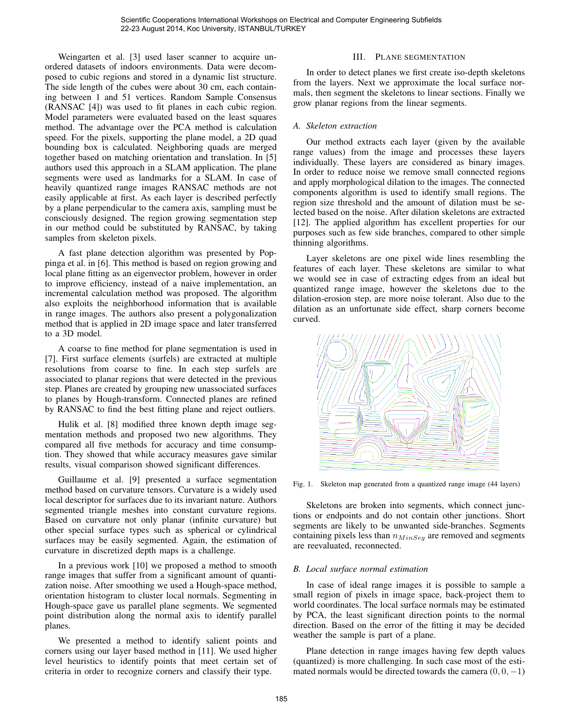Weingarten et al. [3] used laser scanner to acquire unordered datasets of indoors environments. Data were decomposed to cubic regions and stored in a dynamic list structure. The side length of the cubes were about 30 cm, each containing between 1 and 51 vertices. Random Sample Consensus (RANSAC [4]) was used to fit planes in each cubic region. Model parameters were evaluated based on the least squares method. The advantage over the PCA method is calculation speed. For the pixels, supporting the plane model, a 2D quad bounding box is calculated. Neighboring quads are merged together based on matching orientation and translation. In [5] authors used this approach in a SLAM application. The plane segments were used as landmarks for a SLAM. In case of heavily quantized range images RANSAC methods are not easily applicable at first. As each layer is described perfectly by a plane perpendicular to the camera axis, sampling must be consciously designed. The region growing segmentation step in our method could be substituted by RANSAC, by taking samples from skeleton pixels.

A fast plane detection algorithm was presented by Poppinga et al. in [6]. This method is based on region growing and local plane fitting as an eigenvector problem, however in order to improve efficiency, instead of a naive implementation, an incremental calculation method was proposed. The algorithm also exploits the neighborhood information that is available in range images. The authors also present a polygonalization method that is applied in 2D image space and later transferred to a 3D model.

A coarse to fine method for plane segmentation is used in [7]. First surface elements (surfels) are extracted at multiple resolutions from coarse to fine. In each step surfels are associated to planar regions that were detected in the previous step. Planes are created by grouping new unassociated surfaces to planes by Hough-transform. Connected planes are refined by RANSAC to find the best fitting plane and reject outliers.

Hulik et al. [8] modified three known depth image segmentation methods and proposed two new algorithms. They compared all five methods for accuracy and time consumption. They showed that while accuracy measures gave similar results, visual comparison showed significant differences.

Guillaume et al. [9] presented a surface segmentation method based on curvature tensors. Curvature is a widely used local descriptor for surfaces due to its invariant nature. Authors segmented triangle meshes into constant curvature regions. Based on curvature not only planar (infinite curvature) but other special surface types such as spherical or cylindrical surfaces may be easily segmented. Again, the estimation of curvature in discretized depth maps is a challenge.

In a previous work [10] we proposed a method to smooth range images that suffer from a significant amount of quantization noise. After smoothing we used a Hough-space method, orientation histogram to cluster local normals. Segmenting in Hough-space gave us parallel plane segments. We segmented point distribution along the normal axis to identify parallel planes.

We presented a method to identify salient points and corners using our layer based method in [11]. We used higher level heuristics to identify points that meet certain set of criteria in order to recognize corners and classify their type.

## III. PLANE SEGMENTATION

In order to detect planes we first create iso-depth skeletons from the layers. Next we approximate the local surface normals, then segment the skeletons to linear sections. Finally we grow planar regions from the linear segments.

## *A. Skeleton extraction*

Our method extracts each layer (given by the available range values) from the image and processes these layers individually. These layers are considered as binary images. In order to reduce noise we remove small connected regions and apply morphological dilation to the images. The connected components algorithm is used to identify small regions. The region size threshold and the amount of dilation must be selected based on the noise. After dilation skeletons are extracted [12]. The applied algorithm has excellent properties for our purposes such as few side branches, compared to other simple thinning algorithms.

Layer skeletons are one pixel wide lines resembling the features of each layer. These skeletons are similar to what we would see in case of extracting edges from an ideal but quantized range image, however the skeletons due to the dilation-erosion step, are more noise tolerant. Also due to the dilation as an unfortunate side effect, sharp corners become curved.



Fig. 1. Skeleton map generated from a quantized range image (44 layers)

Skeletons are broken into segments, which connect junctions or endpoints and do not contain other junctions. Short segments are likely to be unwanted side-branches. Segments containing pixels less than  $n_{MinSeq}$  are removed and segments are reevaluated, reconnected.

## *B. Local surface normal estimation*

In case of ideal range images it is possible to sample a small region of pixels in image space, back-project them to world coordinates. The local surface normals may be estimated by PCA, the least significant direction points to the normal direction. Based on the error of the fitting it may be decided weather the sample is part of a plane.

Plane detection in range images having few depth values (quantized) is more challenging. In such case most of the estimated normals would be directed towards the camera  $(0, 0, -1)$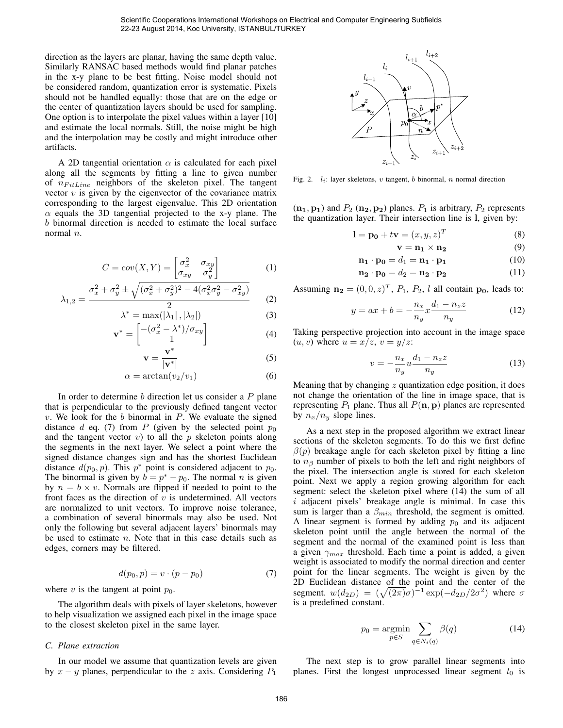direction as the layers are planar, having the same depth value. Similarly RANSAC based methods would find planar patches in the x-y plane to be best fitting. Noise model should not be considered random, quantization error is systematic. Pixels should not be handled equally: those that are on the edge or the center of quantization layers should be used for sampling. One option is to interpolate the pixel values within a layer [10] and estimate the local normals. Still, the noise might be high and the interpolation may be costly and might introduce other artifacts.

A 2D tangential orientation  $\alpha$  is calculated for each pixel along all the segments by fitting a line to given number of  $n_{FitLine}$  neighbors of the skeleton pixel. The tangent vector  $v$  is given by the eigenvector of the covariance matrix corresponding to the largest eigenvalue. This 2D orientation  $\alpha$  equals the 3D tangential projected to the x-y plane. The b binormal direction is needed to estimate the local surface normal *n*.

$$
C = cov(X, Y) = \begin{bmatrix} \sigma_x^2 & \sigma_{xy} \\ \sigma_{xy} & \sigma_y^2 \end{bmatrix}
$$
 (1)

$$
\lambda_{1,2} = \frac{\sigma_x^2 + \sigma_y^2 \pm \sqrt{(\sigma_x^2 + \sigma_y^2)^2 - 4(\sigma_x^2 \sigma_y^2 - \sigma_{xy}^2)}}{2}
$$
 (2)

$$
\lambda^* = \max(|\lambda_1|, |\lambda_2|)
$$
\n
$$
(\lambda^*) = \frac{2}{\left[\frac{(\sigma^2 - \lambda^*)}{\sigma}\right]}
$$
\n(3)

$$
\mathbf{v}^* = \begin{bmatrix} -(\sigma_x^2 - \lambda^*)/\sigma_{xy} \\ 1 \end{bmatrix}
$$
 (4)

$$
\mathbf{v} = \frac{\mathbf{v}^*}{|\mathbf{v}^*|} \tag{5}
$$

$$
\alpha = \arctan(v_2/v_1) \tag{6}
$$

In order to determine  $b$  direction let us consider a  $P$  plane that is perpendicular to the previously defined tangent vector  $v$ . We look for the  $b$  binormal in  $P$ . We evaluate the signed distance  $d$  eq. (7) from  $P$  (given by the selected point  $p_0$ and the tangent vector  $v$ ) to all the  $p$  skeleton points along the segments in the next layer. We select a point where the signed distance changes sign and has the shortest Euclidean distance  $d(p_0, p)$ . This  $p^*$  point is considered adjacent to  $p_0$ . The binormal is given by  $b = p^* - p_0$ . The normal *n* is given by  $n = b \times v$ . Normals are flipped if needed to point to the front faces as the direction of  $v$  is undetermined. All vectors are normalized to unit vectors. To improve noise tolerance, a combination of several binormals may also be used. Not only the following but several adjacent layers' binormals may be used to estimate  $n$ . Note that in this case details such as edges, corners may be filtered.

$$
d(p_0, p) = v \cdot (p - p_0) \tag{7}
$$

where v is the tangent at point  $p_0$ .

The algorithm deals with pixels of layer skeletons, however to help visualization we assigned each pixel in the image space to the closest skeleton pixel in the same layer.

## *C. Plane extraction*

In our model we assume that quantization levels are given by  $x - y$  planes, perpendicular to the z axis. Considering  $P_1$ 



Fig. 2.  $l_i$ : layer skeletons, v tangent, b binormal, n normal direction

 $(n_1, p_1)$  and  $P_2$   $(n_2, p_2)$  planes.  $P_1$  is arbitrary,  $P_2$  represents the quantization layer. Their intersection line is l, given by:

$$
\mathbf{l} = \mathbf{p_0} + t\mathbf{v} = (x, y, z)^T
$$
 (8)

$$
\mathbf{v} = \mathbf{n_1} \times \mathbf{n_2} \tag{9}
$$

$$
\mathbf{n_1} \cdot \mathbf{p_0} = d_1 = \mathbf{n_1} \cdot \mathbf{p_1} \tag{10}
$$

$$
\mathbf{n_2} \cdot \mathbf{p_0} = d_2 = \mathbf{n_2} \cdot \mathbf{p_2} \tag{11}
$$

Assuming  $\mathbf{n_2} = (0, 0, z)^T$ ,  $P_1$ ,  $P_2$ , l all contain  $\mathbf{p_0}$ , leads to:

$$
y = ax + b = -\frac{n_x}{n_y} x \frac{d_1 - n_z z}{n_y}
$$
 (12)

Taking perspective projection into account in the image space  $(u, v)$  where  $u = x/z$ ,  $v = y/z$ :

$$
v = -\frac{n_x}{n_y} u \frac{d_1 - n_z z}{n_y} \tag{13}
$$

Meaning that by changing  $z$  quantization edge position, it does not change the orientation of the line in image space, that is representing  $P_1$  plane. Thus all  $P(\mathbf{n}, \mathbf{p})$  planes are represented by  $n_x/n_y$  slope lines.

As a next step in the proposed algorithm we extract linear sections of the skeleton segments. To do this we first define  $\beta(p)$  breakage angle for each skeleton pixel by fitting a line to  $n<sub>β</sub>$  number of pixels to both the left and right neighbors of the pixel. The intersection angle is stored for each skeleton point. Next we apply a region growing algorithm for each segment: select the skeleton pixel where (14) the sum of all i adjacent pixels' breakage angle is minimal. In case this sum is larger than a  $\beta_{min}$  threshold, the segment is omitted. A linear segment is formed by adding  $p_0$  and its adjacent skeleton point until the angle between the normal of the segment and the normal of the examined point is less than a given  $\gamma_{max}$  threshold. Each time a point is added, a given weight is associated to modify the normal direction and center point for the linear segments. The weight is given by the 2D Euclidean distance of the point and the center of the segment.  $w(d_{2D}) = (\sqrt{(2\pi)}\sigma)^{-1} \exp(-d_{2D}/2\sigma^2)$  where  $\sigma$ is a predefined constant.

$$
p_0 = \underset{p \in S}{\text{argmin}} \sum_{q \in N_i(q)} \beta(q) \tag{14}
$$

The next step is to grow parallel linear segments into planes. First the longest unprocessed linear segment  $l_0$  is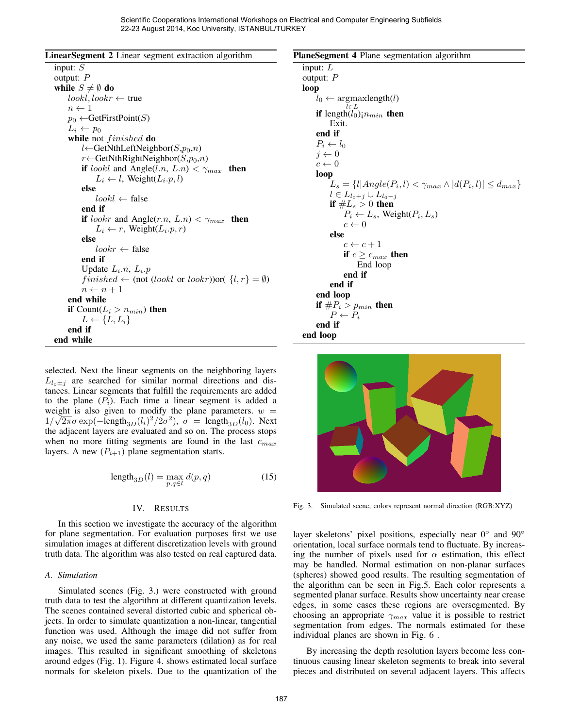| LinearSegment 2 Linear segment extraction algorithm |  |  |  |
|-----------------------------------------------------|--|--|--|
|                                                     |  |  |  |

input: S output: P while  $S \neq \emptyset$  do  $lookl, lookr \leftarrow true$  $n \leftarrow 1$  $p_0 \leftarrow$ GetFirstPoint(S)  $L_i \leftarrow p_0$ while not *finished* do  $l$ ←GetNthLeftNeighbor( $S, p_0, n$ )  $r \leftarrow$ GetNthRightNeighbor( $S, p_0, n$ ) if *lookl* and Angle $(l.n, L.n) < \gamma_{max}$  then  $L_i \leftarrow l$ , Weight $(L_i.p, l)$ else  $lookl \leftarrow false$ end if if *lookr* and Angle(*r.n*,  $L.n$ ) <  $\gamma_{max}$  then  $L_i \leftarrow r$ , Weight $(L_i.p, r)$ else  $lookr \leftarrow false$ end if Update  $L_i.n$ ,  $L_i.p$ f inished ← (not (lookl or lookr))or( {l, r} = ∅)  $n \leftarrow n + 1$ end while **if** Count( $L_i > n_{min}$ ) then  $L \leftarrow \{L, L_i\}$ end if end while

selected. Next the linear segments on the neighboring layers  $L_{l_0+j}$  are searched for similar normal directions and distances. Linear segments that fulfill the requirements are added to the plane  $(P_i)$ . Each time a linear segment is added a weight is also given to modify the plane parameters.  $w =$  $1/\sqrt{2\pi}\sigma \exp(-\text{length}_{3D}(l_i)^2/2\sigma^2)$ ,  $\sigma = \text{length}_{3D}(l_0)$ . Next the adjacent layers are evaluated and so on. The process stops when no more fitting segments are found in the last  $c_{max}$ layers. A new  $(P_{i+1})$  plane segmentation starts.

$$
length_{3D}(l) = \max_{p,q \in l} d(p,q)
$$
 (15)

## IV. RESULTS

In this section we investigate the accuracy of the algorithm for plane segmentation. For evaluation purposes first we use simulation images at different discretization levels with ground truth data. The algorithm was also tested on real captured data.

## *A. Simulation*

Simulated scenes (Fig. 3.) were constructed with ground truth data to test the algorithm at different quantization levels. The scenes contained several distorted cubic and spherical objects. In order to simulate quantization a non-linear, tangential function was used. Although the image did not suffer from any noise, we used the same parameters (dilation) as for real images. This resulted in significant smoothing of skeletons around edges (Fig. 1). Figure 4. shows estimated local surface normals for skeleton pixels. Due to the quantization of the





Fig. 3. Simulated scene, colors represent normal direction (RGB:XYZ)

layer skeletons' pixel positions, especially near 0° and 90° orientation, local surface normals tend to fluctuate. By increasing the number of pixels used for  $\alpha$  estimation, this effect may be handled. Normal estimation on non-planar surfaces (spheres) showed good results. The resulting segmentation of the algorithm can be seen in Fig.5. Each color represents a segmented planar surface. Results show uncertainty near crease edges, in some cases these regions are oversegmented. By choosing an appropriate  $\gamma_{max}$  value it is possible to restrict segmentation from edges. The normals estimated for these individual planes are shown in Fig. 6 .

By increasing the depth resolution layers become less continuous causing linear skeleton segments to break into several pieces and distributed on several adjacent layers. This affects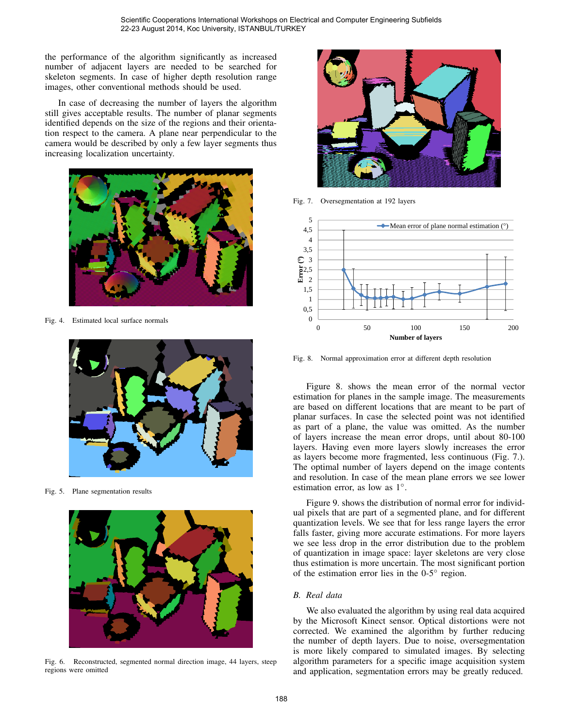the performance of the algorithm significantly as increased number of adjacent layers are needed to be searched for skeleton segments. In case of higher depth resolution range images, other conventional methods should be used.

In case of decreasing the number of layers the algorithm still gives acceptable results. The number of planar segments identified depends on the size of the regions and their orientation respect to the camera. A plane near perpendicular to the camera would be described by only a few layer segments thus increasing localization uncertainty.



Fig. 4. Estimated local surface normals



Fig. 5. Plane segmentation results



Fig. 6. Reconstructed, segmented normal direction image, 44 layers, steep regions were omitted



Fig. 7. Oversegmentation at 192 layers



Fig. 8. Normal approximation error at different depth resolution

Figure 8. shows the mean error of the normal vector estimation for planes in the sample image. The measurements are based on different locations that are meant to be part of planar surfaces. In case the selected point was not identified as part of a plane, the value was omitted. As the number of layers increase the mean error drops, until about 80-100 layers. Having even more layers slowly increases the error as layers become more fragmented, less continuous (Fig. 7.). The optimal number of layers depend on the image contents and resolution. In case of the mean plane errors we see lower estimation error, as low as 1<sup>°</sup>.

Figure 9. shows the distribution of normal error for individual pixels that are part of a segmented plane, and for different quantization levels. We see that for less range layers the error falls faster, giving more accurate estimations. For more layers we see less drop in the error distribution due to the problem of quantization in image space: layer skeletons are very close thus estimation is more uncertain. The most significant portion of the estimation error lies in the  $0-5^\circ$  region.

# *B. Real data*

We also evaluated the algorithm by using real data acquired by the Microsoft Kinect sensor. Optical distortions were not corrected. We examined the algorithm by further reducing the number of depth layers. Due to noise, oversegmentation is more likely compared to simulated images. By selecting algorithm parameters for a specific image acquisition system and application, segmentation errors may be greatly reduced.